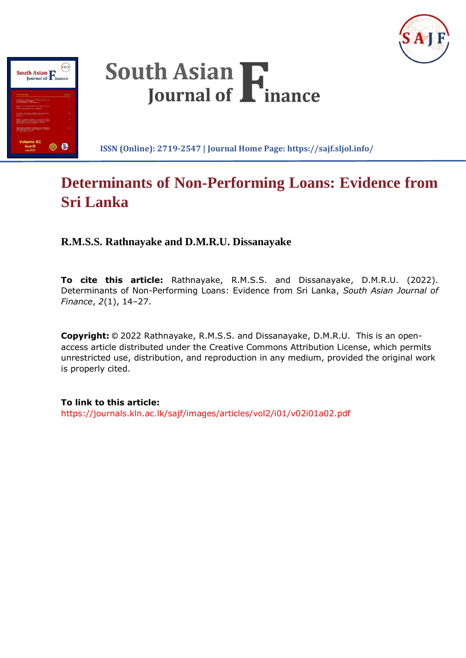





**ISSN (Online): 2719-2547 | Journal Home Page: https://sajf.sljol.info/**

# **Determinants of Non-Performing Loans: Evidence from Sri Lanka**

**R.M.S.S. Rathnayake and D.M.R.U. Dissanayake**

**To cite this article:** Rathnayake, R.M.S.S. and Dissanayake, D.M.R.U. (2022). Determinants of Non-Performing Loans: Evidence from Sri Lanka, *South Asian Journal of Finance*, *2*(1), 14–27.

**Copyright:** © 2022 Rathnayake, R.M.S.S. and Dissanayake, D.M.R.U. This is an openaccess article distributed under the Creative Commons Attribution License, which permits unrestricted use, distribution, and reproduction in any medium, provided the original work is properly cited.

**To link to this article:** https://journals.kln.ac.lk/sajf/images/articles/vol2/i01/v02i01a02.pdf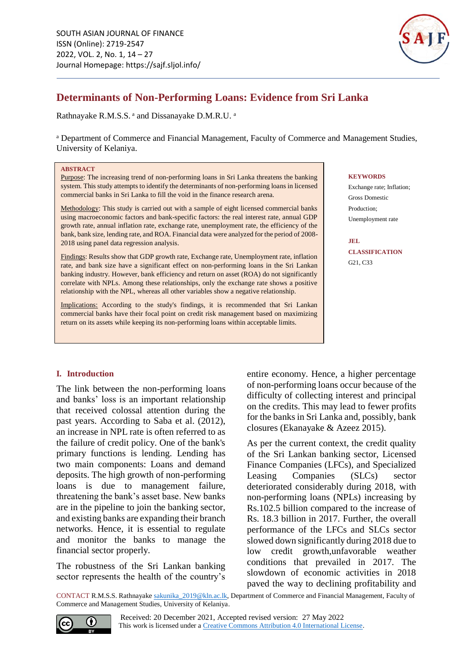

# **Determinants of Non-Performing Loans: Evidence from Sri Lanka**

Rathnayake R.M.S.S. a and Dissanayake D.M.R.U. a

<sup>a</sup> Department of Commerce and Financial Management, Faculty of Commerce and Management Studies, University of Kelaniya.

#### **ABSTRACT**

Purpose: The increasing trend of non-performing loans in Sri Lanka threatens the banking system. This study attempts to identify the determinants of non-performing loans in licensed commercial banks in Sri Lanka to fill the void in the finance research arena.

Methodology: This study is carried out with a sample of eight licensed commercial banks using macroeconomic factors and bank-specific factors: the real interest rate, annual GDP growth rate, annual inflation rate, exchange rate, unemployment rate, the efficiency of the bank, bank size, lending rate, and ROA. Financial data were analyzed for the period of 2008- 2018 using panel data regression analysis.

Findings: Results show that GDP growth rate, Exchange rate, Unemployment rate, inflation rate, and bank size have a significant effect on non-performing loans in the Sri Lankan banking industry. However, bank efficiency and return on asset (ROA) do not significantly correlate with NPLs. Among these relationships, only the exchange rate shows a positive relationship with the NPL, whereas all other variables show a negative relationship.

Implications: According to the study's findings, it is recommended that Sri Lankan commercial banks have their focal point on credit risk management based on maximizing return on its assets while keeping its non-performing loans within acceptable limits.

#### **KEYWORDS**

Exchange rate; Inflation; Gross Domestic Production; Unemployment rate

**JEL CLASSIFICATION** G21, C33

# **I. Introduction**

The link between the non-performing loans and banks' loss is an important relationship that received colossal attention during the past years. According to Saba et al. (2012), an increase in NPL rate is often referred to as the failure of credit policy. One of the bank's primary functions is lending. Lending has two main components: Loans and demand deposits. The high growth of non-performing loans is due to management failure, threatening the bank's asset base. New banks are in the pipeline to join the banking sector, and existing banks are expanding their branch networks. Hence, it is essential to regulate and monitor the banks to manage the financial sector properly.

The robustness of the Sri Lankan banking sector represents the health of the country's entire economy. Hence, a higher percentage of non-performing loans occur because of the difficulty of collecting interest and principal on the credits. This may lead to fewer profits for the banks in Sri Lanka and, possibly, bank closures (Ekanayake & Azeez 2015).

As per the current context, the credit quality of the Sri Lankan banking sector, Licensed Finance Companies (LFCs), and Specialized Leasing Companies (SLCs) sector deteriorated considerably during 2018, with non-performing loans (NPLs) increasing by Rs.102.5 billion compared to the increase of Rs. 18.3 billion in 2017. Further, the overall performance of the LFCs and SLCs sector slowed down significantly during 2018 due to low credit growth,unfavorable weather conditions that prevailed in 2017. The slowdown of economic activities in 2018 paved the way to declining profitability and

CONTACT R.M.S.S. Rathnayak[e sakunika\\_2019@kln.ac.lk,](mailto:sakunika_2019@kln.ac.lk) Department of Commerce and Financial Management, Faculty of Commerce and Management Studies, University of Kelaniya.

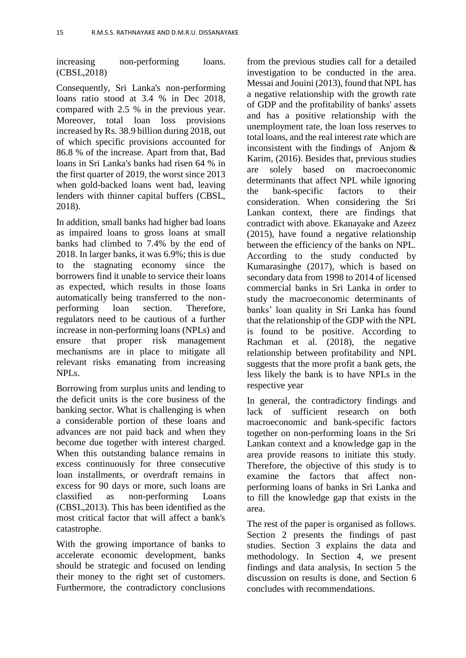increasing non-performing loans. (CBSL,2018)

Consequently, Sri Lanka's non-performing loans ratio stood at 3.4 % in Dec 2018, compared with 2.5 % in the previous year. Moreover, total loan loss provisions increased by Rs. 38.9 billion during 2018, out of which specific provisions accounted for 86.8 % of the increase. Apart from that, Bad loans in Sri Lanka's banks had risen 64 % in the first quarter of 2019, the worst since 2013 when gold-backed loans went bad, leaving lenders with thinner capital buffers (CBSL, 2018).

In addition, small banks had higher bad loans as impaired loans to gross loans at small banks had climbed to 7.4% by the end of 2018. In larger banks, it was 6.9%; this is due to the stagnating economy since the borrowers find it unable to service their loans as expected, which results in those loans automatically being transferred to the nonperforming loan section. Therefore, regulators need to be cautious of a further increase in non-performing loans (NPLs) and ensure that proper risk management mechanisms are in place to mitigate all relevant risks emanating from increasing NPL<sub>s</sub>

Borrowing from surplus units and lending to the deficit units is the core business of the banking sector. What is challenging is when a considerable portion of these loans and advances are not paid back and when they become due together with interest charged. When this outstanding balance remains in excess continuously for three consecutive loan installments, or overdraft remains in excess for 90 days or more, such loans are classified as non-performing Loans (CBSL,2013). This has been identified as the most critical factor that will affect a bank's catastrophe.

With the growing importance of banks to accelerate economic development, banks should be strategic and focused on lending their money to the right set of customers. Furthermore, the contradictory conclusions

from the previous studies call for a detailed investigation to be conducted in the area. Messai and Jouini (2013), found that NPL has a negative relationship with the growth rate of GDP and the profitability of banks' assets and has a positive relationship with the unemployment rate, the loan loss reserves to total loans, and the real interest rate which are inconsistent with the findings of Anjom & Karim, (2016). Besides that, previous studies are solely based on macroeconomic determinants that affect NPL while ignoring the bank-specific factors to their consideration. When considering the Sri Lankan context, there are findings that contradict with above. Ekanayake and Azeez (2015), have found a negative relationship between the efficiency of the banks on NPL. According to the study conducted by Kumarasinghe (2017), which is based on secondary data from 1998 to 2014 of licensed commercial banks in Sri Lanka in order to study the macroeconomic determinants of banks' loan quality in Sri Lanka has found that the relationship of the GDP with the NPL is found to be positive. According to Rachman et al. (2018), the negative relationship between profitability and NPL suggests that the more profit a bank gets, the less likely the bank is to have NPLs in the respective year

In general, the contradictory findings and lack of sufficient research on both macroeconomic and bank-specific factors together on non-performing loans in the Sri Lankan context and a knowledge gap in the area provide reasons to initiate this study. Therefore, the objective of this study is to examine the factors that affect nonperforming loans of banks in Sri Lanka and to fill the knowledge gap that exists in the area.

The rest of the paper is organised as follows. Section 2 presents the findings of past studies. Section 3 explains the data and methodology. In Section 4, we present findings and data analysis, In section 5 the discussion on results is done, and Section 6 concludes with recommendations.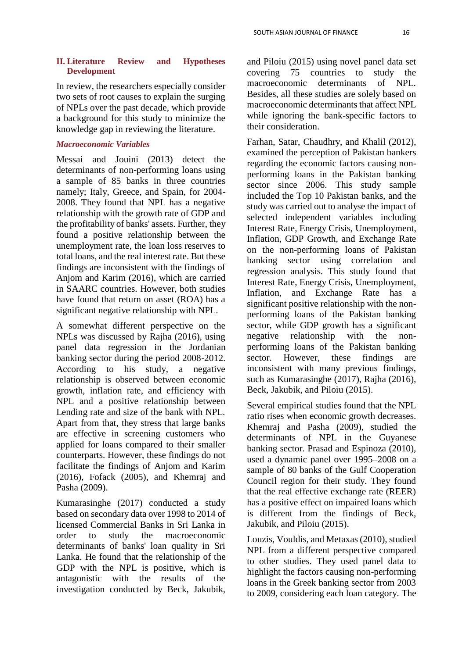## **II. Literature Review and Hypotheses Development**

In review, the researchers especially consider two sets of root causes to explain the surging of NPLs over the past decade, which provide a background for this study to minimize the knowledge gap in reviewing the literature.

# *Macroeconomic Variables*

Messai and Jouini (2013) detect the determinants of non-performing loans using a sample of 85 banks in three countries namely; Italy, Greece, and Spain, for 2004- 2008. They found that NPL has a negative relationship with the growth rate of GDP and the profitability of banks' assets. Further, they found a positive relationship between the unemployment rate, the loan loss reserves to total loans, and the real interest rate. But these findings are inconsistent with the findings of Anjom and Karim (2016), which are carried in SAARC countries. However, both studies have found that return on asset (ROA) has a significant negative relationship with NPL.

A somewhat different perspective on the NPLs was discussed by Rajha (2016), using panel data regression in the Jordanian banking sector during the period 2008-2012. According to his study, a negative relationship is observed between economic growth, inflation rate, and efficiency with NPL and a positive relationship between Lending rate and size of the bank with NPL. Apart from that, they stress that large banks are effective in screening customers who applied for loans compared to their smaller counterparts. However, these findings do not facilitate the findings of Anjom and Karim (2016), Fofack (2005), and Khemraj and Pasha (2009).

Kumarasinghe (2017) conducted a study based on secondary data over 1998 to 2014 of licensed Commercial Banks in Sri Lanka in order to study the macroeconomic determinants of banks' loan quality in Sri Lanka. He found that the relationship of the GDP with the NPL is positive, which is antagonistic with the results of the investigation conducted by Beck, Jakubik,

and Piloiu (2015) using novel panel data set covering 75 countries to study the macroeconomic determinants of NPL. Besides, all these studies are solely based on macroeconomic determinants that affect NPL while ignoring the bank-specific factors to their consideration.

Farhan, Satar, Chaudhry, and Khalil (2012), examined the perception of Pakistan bankers regarding the economic factors causing nonperforming loans in the Pakistan banking sector since 2006. This study sample included the Top 10 Pakistan banks, and the study was carried out to analyse the impact of selected independent variables including Interest Rate, Energy Crisis, Unemployment, Inflation, GDP Growth, and Exchange Rate on the non-performing loans of Pakistan banking sector using correlation and regression analysis. This study found that Interest Rate, Energy Crisis, Unemployment, Inflation, and Exchange Rate has a significant positive relationship with the nonperforming loans of the Pakistan banking sector, while GDP growth has a significant negative relationship with the nonperforming loans of the Pakistan banking sector. However, these findings are inconsistent with many previous findings, such as Kumarasinghe (2017), Rajha (2016), Beck, Jakubik, and Piloiu (2015).

Several empirical studies found that the NPL ratio rises when economic growth decreases. Khemraj and Pasha (2009), studied the determinants of NPL in the Guyanese banking sector. Prasad and Espinoza (2010), used a dynamic panel over 1995–2008 on a sample of 80 banks of the Gulf Cooperation Council region for their study. They found that the real effective exchange rate (REER) has a positive effect on impaired loans which is different from the findings of Beck, Jakubik, and Piloiu (2015).

Louzis, Vouldis, and Metaxas (2010), studied NPL from a different perspective compared to other studies. They used panel data to highlight the factors causing non-performing loans in the Greek banking sector from 2003 to 2009, considering each loan category. The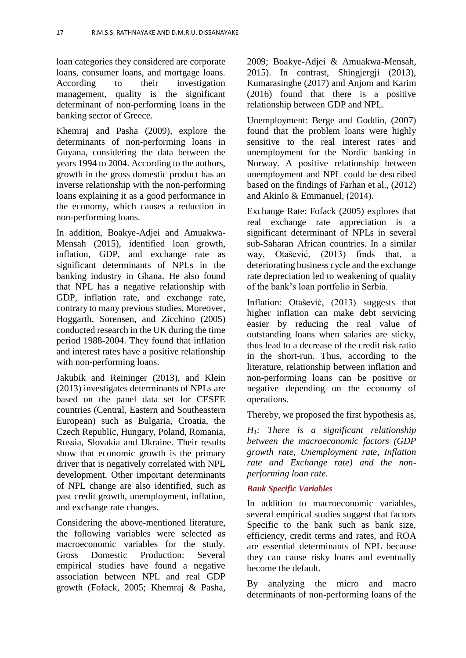loan categories they considered are corporate loans, consumer loans, and mortgage loans. According to their investigation management, quality is the significant determinant of non-performing loans in the banking sector of Greece.

Khemraj and Pasha (2009), explore the determinants of non-performing loans in Guyana, considering the data between the years 1994 to 2004. According to the authors, growth in the gross domestic product has an inverse relationship with the non-performing loans explaining it as a good performance in the economy, which causes a reduction in non-performing loans.

In addition, Boakye-Adjei and Amuakwa-Mensah (2015), identified loan growth, inflation, GDP, and exchange rate as significant determinants of NPLs in the banking industry in Ghana. He also found that NPL has a negative relationship with GDP, inflation rate, and exchange rate, contrary to many previous studies. Moreover, Hoggarth, Sorensen, and Zicchino (2005) conducted research in the UK during the time period 1988-2004. They found that inflation and interest rates have a positive relationship with non-performing loans.

Jakubik and Reininger (2013), and Klein (2013) investigates determinants of NPLs are based on the panel data set for CESEE countries (Central, Eastern and Southeastern European) such as Bulgaria, Croatia, the Czech Republic, Hungary, Poland, Romania, Russia, Slovakia and Ukraine. Their results show that economic growth is the primary driver that is negatively correlated with NPL development. Other important determinants of NPL change are also identified, such as past credit growth, unemployment, inflation, and exchange rate changes.

Considering the above-mentioned literature, the following variables were selected as macroeconomic variables for the study. Gross Domestic Production: Several empirical studies have found a negative association between NPL and real GDP growth (Fofack, 2005; Khemraj & Pasha,

2009; Boakye-Adjei & Amuakwa-Mensah, 2015). In contrast, Shingjergji (2013), Kumarasinghe (2017) and Anjom and Karim (2016) found that there is a positive relationship between GDP and NPL.

Unemployment: Berge and Goddin, (2007) found that the problem loans were highly sensitive to the real interest rates and unemployment for the Nordic banking in Norway. A positive relationship between unemployment and NPL could be described based on the findings of Farhan et al., (2012) and Akinlo & Emmanuel, (2014).

Exchange Rate: Fofack (2005) explores that real exchange rate appreciation is a significant determinant of NPLs in several sub-Saharan African countries. In a similar way, Otašević,  $(2013)$  finds that, deteriorating business cycle and the exchange rate depreciation led to weakening of quality of the bank's loan portfolio in Serbia.

Inflation: Otašević, (2013) suggests that higher inflation can make debt servicing easier by reducing the real value of outstanding loans when salaries are sticky, thus lead to a decrease of the credit risk ratio in the short-run. Thus, according to the literature, relationship between inflation and non-performing loans can be positive or negative depending on the economy of operations.

Thereby, we proposed the first hypothesis as,

*H1: There is a significant relationship between the macroeconomic factors (GDP growth rate, Unemployment rate, Inflation rate and Exchange rate) and the nonperforming loan rate.* 

# *Bank Specific Variables*

In addition to macroeconomic variables, several empirical studies suggest that factors Specific to the bank such as bank size, efficiency, credit terms and rates, and ROA are essential determinants of NPL because they can cause risky loans and eventually become the default.

By analyzing the micro and macro determinants of non-performing loans of the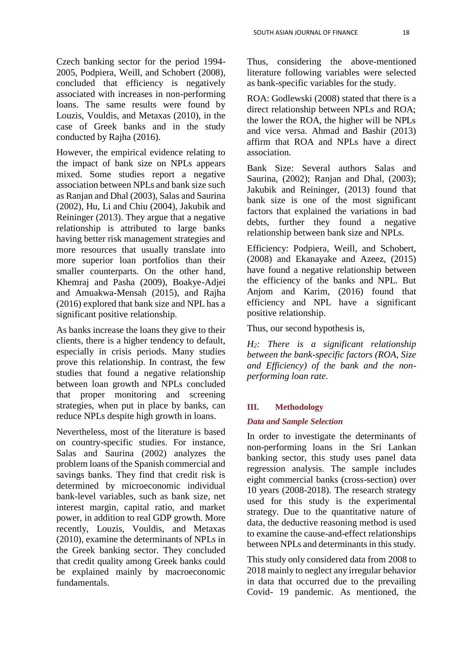Czech banking sector for the period 1994- 2005, Podpiera, Weill, and Schobert (2008), concluded that efficiency is negatively associated with increases in non-performing loans. The same results were found by Louzis, Vouldis, and Metaxas (2010), in the case of Greek banks and in the study conducted by Rajha (2016).

However, the empirical evidence relating to the impact of bank size on NPLs appears mixed. Some studies report a negative association between NPLs and bank size such as Ranjan and Dhal (2003), Salas and Saurina (2002), Hu, Li and Chiu (2004), Jakubik and Reininger (2013). They argue that a negative relationship is attributed to large banks having better risk management strategies and more resources that usually translate into more superior loan portfolios than their smaller counterparts. On the other hand, Khemraj and Pasha (2009), Boakye-Adjei and Amuakwa-Mensah (2015), and Rajha (2016) explored that bank size and NPL has a significant positive relationship.

As banks increase the loans they give to their clients, there is a higher tendency to default, especially in crisis periods. Many studies prove this relationship. In contrast, the few studies that found a negative relationship between loan growth and NPLs concluded that proper monitoring and screening strategies, when put in place by banks, can reduce NPLs despite high growth in loans.

Nevertheless, most of the literature is based on country-specific studies. For instance, Salas and Saurina (2002) analyzes the problem loans of the Spanish commercial and savings banks. They find that credit risk is determined by microeconomic individual bank-level variables, such as bank size, net interest margin, capital ratio, and market power, in addition to real GDP growth. More recently, Louzis, Vouldis, and Metaxas (2010), examine the determinants of NPLs in the Greek banking sector. They concluded that credit quality among Greek banks could be explained mainly by macroeconomic fundamentals.

Thus, considering the above-mentioned literature following variables were selected as bank-specific variables for the study.

ROA: Godlewski (2008) stated that there is a direct relationship between NPLs and ROA; the lower the ROA, the higher will be NPLs and vice versa. Ahmad and Bashir (2013) affirm that ROA and NPLs have a direct association.

Bank Size: Several authors Salas and Saurina, (2002); Ranjan and Dhal, (2003); Jakubik and Reininger, (2013) found that bank size is one of the most significant factors that explained the variations in bad debts, further they found a negative relationship between bank size and NPLs.

Efficiency: Podpiera, Weill, and Schobert, (2008) and Ekanayake and Azeez, (2015) have found a negative relationship between the efficiency of the banks and NPL. But Anjom and Karim, (2016) found that efficiency and NPL have a significant positive relationship.

Thus, our second hypothesis is,

*H2: There is a significant relationship between the bank-specific factors (ROA, Size and Efficiency) of the bank and the nonperforming loan rate.*

# **III. Methodology**

# *Data and Sample Selection*

In order to investigate the determinants of non-performing loans in the Sri Lankan banking sector, this study uses panel data regression analysis. The sample includes eight commercial banks (cross-section) over 10 years (2008-2018). The research strategy used for this study is the experimental strategy. Due to the quantitative nature of data, the deductive reasoning method is used to examine the cause-and-effect relationships between NPLs and determinants in this study.

This study only considered data from 2008 to 2018 mainly to neglect any irregular behavior in data that occurred due to the prevailing Covid- 19 pandemic. As mentioned, the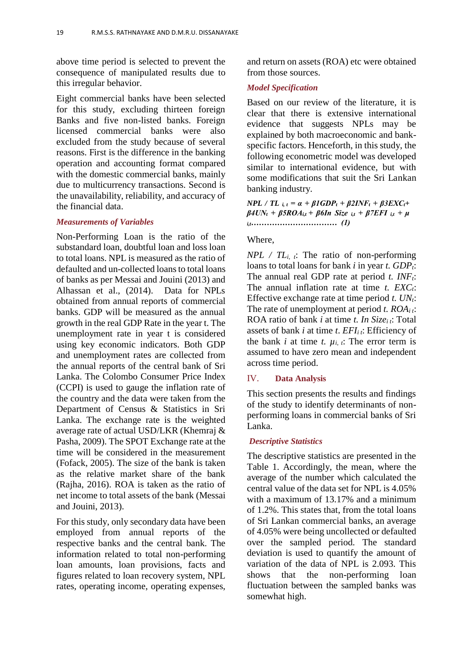above time period is selected to prevent the consequence of manipulated results due to this irregular behavior.

Eight commercial banks have been selected for this study, excluding thirteen foreign Banks and five non-listed banks. Foreign licensed commercial banks were also excluded from the study because of several reasons. First is the difference in the banking operation and accounting format compared with the domestic commercial banks, mainly due to multicurrency transactions. Second is the unavailability, reliability, and accuracy of the financial data.

#### *Measurements of Variables*

Non-Performing Loan is the ratio of the substandard loan, doubtful loan and loss loan to total loans. NPL is measured as the ratio of defaulted and un-collected loans to total loans of banks as per Messai and Jouini (2013) and Alhassan et al., (2014). Data for NPLs obtained from annual reports of commercial banks. GDP will be measured as the annual growth in the real GDP Rate in the year t. The unemployment rate in year t is considered using key economic indicators. Both GDP and unemployment rates are collected from the annual reports of the central bank of Sri Lanka. The Colombo Consumer Price Index (CCPI) is used to gauge the inflation rate of the country and the data were taken from the Department of Census & Statistics in Sri Lanka. The exchange rate is the weighted average rate of actual USD/LKR (Khemraj & Pasha, 2009). The SPOT Exchange rate at the time will be considered in the measurement (Fofack, 2005). The size of the bank is taken as the relative market share of the bank (Rajha, 2016). ROA is taken as the ratio of net income to total assets of the bank (Messai and Jouini, 2013).

For this study, only secondary data have been employed from annual reports of the respective banks and the central bank. The information related to total non-performing loan amounts, loan provisions, facts and figures related to loan recovery system, NPL rates, operating income, operating expenses, and return on assets (ROA) etc were obtained from those sources.

#### *Model Specification*

Based on our review of the literature, it is clear that there is extensive international evidence that suggests NPLs may be explained by both macroeconomic and bankspecific factors. Henceforth, in this study, the following econometric model was developed similar to international evidence, but with some modifications that suit the Sri Lankan banking industry.

 $NPL / TL$   $i, t = \alpha + \beta IGDP_t + \beta 2INF_t + \beta 3EXC_t + \beta 3EXC_t$  $\beta$ 4UN<sub>t</sub> +  $\beta$ 5ROA<sub>i,t</sub> +  $\beta$ 6In Size <sub>*i*,t</sub> +  $\beta$ 7EFI <sub>*i*,t</sub> +  $\mu$ </sup> *i,t…………………………… (1)*

#### Where,

*NPL / TLi, t*: The ratio of non-performing loans to total loans for bank *i* in year *t. GDPt*: The annual real GDP rate at period *t. INFt*: The annual inflation rate at time *t. EXCt*: Effective exchange rate at time period *t. UNt*: The rate of unemployment at period *t. ROAi t*: ROA ratio of bank *i* at time *t. In Sizei t*: Total assets of bank *i* at time *t*. *EFIi t*: Efficiency of the bank *i* at time *t.*  $\mu_i$ , *i*. The error term is assumed to have zero mean and independent across time period.

#### IV. **Data Analysis**

This section presents the results and findings of the study to identify determinants of nonperforming loans in commercial banks of Sri Lanka.

#### *Descriptive Statistics*

The descriptive statistics are presented in the Table 1. Accordingly, the mean, where the average of the number which calculated the central value of the data set for NPL is 4.05% with a maximum of 13.17% and a minimum of 1.2%. This states that, from the total loans of Sri Lankan commercial banks, an average of 4.05% were being uncollected or defaulted over the sampled period. The standard deviation is used to quantify the amount of variation of the data of NPL is 2.093. This shows that the non-performing loan fluctuation between the sampled banks was somewhat high.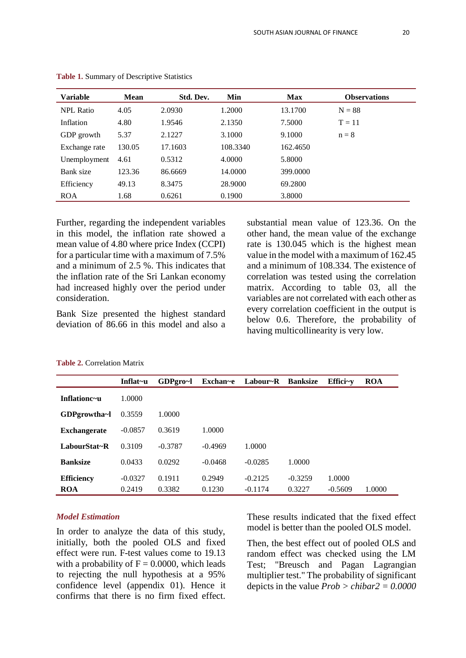| Variable         | <b>Mean</b> | Std. Dev. | Min      | <b>Max</b> | <b>Observations</b> |
|------------------|-------------|-----------|----------|------------|---------------------|
| <b>NPL Ratio</b> | 4.05        | 2.0930    | 1.2000   | 13.1700    | $N = 88$            |
| Inflation        | 4.80        | 1.9546    | 2.1350   | 7.5000     | $T = 11$            |
| GDP growth       | 5.37        | 2.1227    | 3.1000   | 9.1000     | $n = 8$             |
| Exchange rate    | 130.05      | 17.1603   | 108.3340 | 162.4650   |                     |
| Unemployment     | 4.61        | 0.5312    | 4.0000   | 5.8000     |                     |
| Bank size        | 123.36      | 86.6669   | 14.0000  | 399,0000   |                     |
| Efficiency       | 49.13       | 8.3475    | 28.9000  | 69.2800    |                     |
| <b>ROA</b>       | 1.68        | 0.6261    | 0.1900   | 3.8000     |                     |

| Table 1. Summary of Descriptive Statistics |  |  |
|--------------------------------------------|--|--|
|--------------------------------------------|--|--|

Further, regarding the independent variables in this model, the inflation rate showed a mean value of 4.80 where price Index (CCPI) for a particular time with a maximum of 7.5% and a minimum of 2.5 %. This indicates that the inflation rate of the Sri Lankan economy had increased highly over the period under consideration.

Bank Size presented the highest standard deviation of 86.66 in this model and also a substantial mean value of 123.36. On the other hand, the mean value of the exchange rate is 130.045 which is the highest mean value in the model with a maximum of 162.45 and a minimum of 108.334. The existence of correlation was tested using the correlation matrix. According to table 03, all the variables are not correlated with each other as every correlation coefficient in the output is below 0.6. Therefore, the probability of having multicollinearity is very low.

|                     | Inflat~u  | GDPgro~l  | Exchan~e  | Labour~R  | <b>Banksize</b> | Effici $-y$ | <b>ROA</b> |
|---------------------|-----------|-----------|-----------|-----------|-----------------|-------------|------------|
| Inflationc~u        | 1.0000    |           |           |           |                 |             |            |
| GDPgrowtha~l        | 0.3559    | 1.0000    |           |           |                 |             |            |
| <b>Exchangerate</b> | $-0.0857$ | 0.3619    | 1.0000    |           |                 |             |            |
| LabourStat~R        | 0.3109    | $-0.3787$ | $-0.4969$ | 1.0000    |                 |             |            |
| <b>Banksize</b>     | 0.0433    | 0.0292    | $-0.0468$ | $-0.0285$ | 1.0000          |             |            |
| <b>Efficiency</b>   | $-0.0327$ | 0.1911    | 0.2949    | $-0.2125$ | $-0.3259$       | 1.0000      |            |
| ROA                 | 0.2419    | 0.3382    | 0.1230    | $-0.1174$ | 0.3227          | $-0.5609$   | 1.0000     |

# *Model Estimation*

In order to analyze the data of this study, initially, both the pooled OLS and fixed effect were run. F-test values come to 19.13 with a probability of  $F = 0.0000$ , which leads to rejecting the null hypothesis at a 95% confidence level (appendix 01). Hence it confirms that there is no firm fixed effect.

These results indicated that the fixed effect model is better than the pooled OLS model.

Then, the best effect out of pooled OLS and random effect was checked using the LM Test; "Breusch and Pagan Lagrangian multiplier test." The probability of significant depicts in the value *Prob > chibar2 = 0.0000*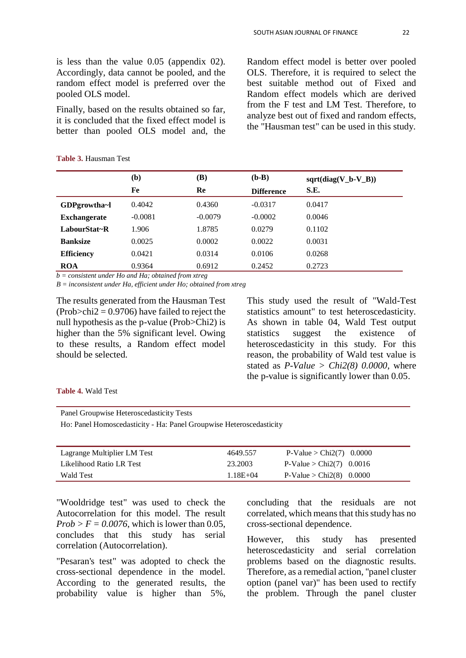is less than the value 0.05 (appendix 02). Accordingly, data cannot be pooled, and the random effect model is preferred over the pooled OLS model.

Finally, based on the results obtained so far, it is concluded that the fixed effect model is better than pooled OLS model and, the

**Table 3.** Hausman Test

Random effect model is better over pooled OLS. Therefore, it is required to select the best suitable method out of Fixed and Random effect models which are derived from the F test and LM Test. Therefore, to analyze best out of fixed and random effects, the "Hausman test" can be used in this study.

|                     | (b)       | (B)       | $(b-B)$           | $sqrt(diag(V_b-V_B))$ |
|---------------------|-----------|-----------|-------------------|-----------------------|
|                     | Fe        | Re        | <b>Difference</b> | S.E.                  |
| GDPgrowtha~1        | 0.4042    | 0.4360    | $-0.0317$         | 0.0417                |
| <b>Exchangerate</b> | $-0.0081$ | $-0.0079$ | $-0.0002$         | 0.0046                |
| LabourStat~R        | 1.906     | 1.8785    | 0.0279            | 0.1102                |
| <b>Banksize</b>     | 0.0025    | 0.0002    | 0.0022            | 0.0031                |
| <b>Efficiency</b>   | 0.0421    | 0.0314    | 0.0106            | 0.0268                |
| <b>ROA</b>          | 0.9364    | 0.6912    | 0.2452            | 0.2723                |

*b = consistent under Ho and Ha; obtained from xtreg* 

*B = inconsistent under Ha, efficient under Ho; obtained from xtreg*

The results generated from the Hausman Test  $(Prob > chi2 = 0.9706)$  have failed to reject the null hypothesis as the p-value (Prob>Chi2) is higher than the 5% significant level. Owing to these results, a Random effect model should be selected.

This study used the result of "Wald-Test statistics amount" to test heteroscedasticity. As shown in table 04, Wald Test output statistics suggest the existence of heteroscedasticity in this study. For this reason, the probability of Wald test value is stated as *P-Value > Chi2(8) 0.0000*, where the p-value is significantly lower than 0.05.

## **Table 4.** Wald Test

Panel Groupwise Heteroscedasticity Tests

Ho: Panel Homoscedasticity - Ha: Panel Groupwise Heteroscedasticity

| Lagrange Multiplier LM Test | 4649.557     | $P-Value > Chi2(7)$ 0.0000 |
|-----------------------------|--------------|----------------------------|
| Likelihood Ratio LR Test    | 23.2003      | P-Value > Chi2(7) $0.0016$ |
| Wald Test                   | $1.18E + 04$ | $P-Value > Chi2(8)$ 0.0000 |

"Wooldridge test" was used to check the Autocorrelation for this model. The result  $Prob > F = 0.0076$ , which is lower than 0.05, concludes that this study has serial correlation (Autocorrelation).

"Pesaran's test" was adopted to check the cross-sectional dependence in the model. According to the generated results, the probability value is higher than 5%,

concluding that the residuals are not correlated, which means that this study has no cross-sectional dependence.

However, this study has presented heteroscedasticity and serial correlation problems based on the diagnostic results. Therefore, as a remedial action, "panel cluster option (panel var)" has been used to rectify the problem. Through the panel cluster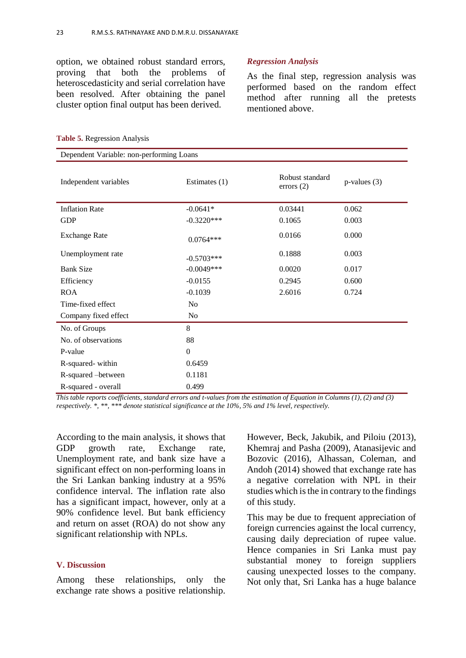option, we obtained robust standard errors, proving that both the problems of heteroscedasticity and serial correlation have been resolved. After obtaining the panel cluster option final output has been derived.

#### *Regression Analysis*

As the final step, regression analysis was performed based on the random effect method after running all the pretests mentioned above.

| Dependent Variable: non-performing Loans |                 |                                 |                   |  |  |
|------------------------------------------|-----------------|---------------------------------|-------------------|--|--|
| Independent variables                    | Estimates $(1)$ | Robust standard<br>errors $(2)$ | $p$ -values $(3)$ |  |  |
| <b>Inflation Rate</b>                    | $-0.0641*$      | 0.03441                         | 0.062             |  |  |
| <b>GDP</b>                               | $-0.3220***$    | 0.1065                          | 0.003             |  |  |
| <b>Exchange Rate</b>                     | $0.0764***$     | 0.0166                          | 0.000             |  |  |
| Unemployment rate                        | $-0.5703***$    | 0.1888                          | 0.003             |  |  |
| <b>Bank Size</b>                         | $-0.0049***$    | 0.0020                          | 0.017             |  |  |
| Efficiency                               | $-0.0155$       | 0.2945                          | 0.600             |  |  |
| <b>ROA</b>                               | $-0.1039$       | 2.6016                          | 0.724             |  |  |
| Time-fixed effect                        | N <sub>o</sub>  |                                 |                   |  |  |
| Company fixed effect                     | No              |                                 |                   |  |  |
| No. of Groups                            | 8               |                                 |                   |  |  |
| No. of observations                      | 88              |                                 |                   |  |  |
| P-value                                  | $\Omega$        |                                 |                   |  |  |
| R-squared-within                         | 0.6459          |                                 |                   |  |  |
| R-squared -between                       | 0.1181          |                                 |                   |  |  |
| R-squared - overall                      | 0.499           |                                 |                   |  |  |

#### **Table 5.** Regression Analysis

*This table reports coefficients, standard errors and t-values from the estimation of Equation in Columns (1), (2) and (3) respectively. \*, \*\*, \*\*\* denote statistical significance at the 10%, 5% and 1% level, respectively.* 

According to the main analysis, it shows that GDP growth rate, Exchange rate, Unemployment rate, and bank size have a significant effect on non-performing loans in the Sri Lankan banking industry at a 95% confidence interval. The inflation rate also has a significant impact, however, only at a 90% confidence level. But bank efficiency and return on asset (ROA) do not show any significant relationship with NPLs.

# **V. Discussion**

Among these relationships, only the exchange rate shows a positive relationship.

However, Beck, Jakubik, and Piloiu (2013), Khemraj and Pasha (2009), Atanasijevic and Bozovic (2016), Alhassan, Coleman, and Andoh (2014) showed that exchange rate has a negative correlation with NPL in their studies which is the in contrary to the findings of this study.

This may be due to frequent appreciation of foreign currencies against the local currency, causing daily depreciation of rupee value. Hence companies in Sri Lanka must pay substantial money to foreign suppliers causing unexpected losses to the company. Not only that, Sri Lanka has a huge balance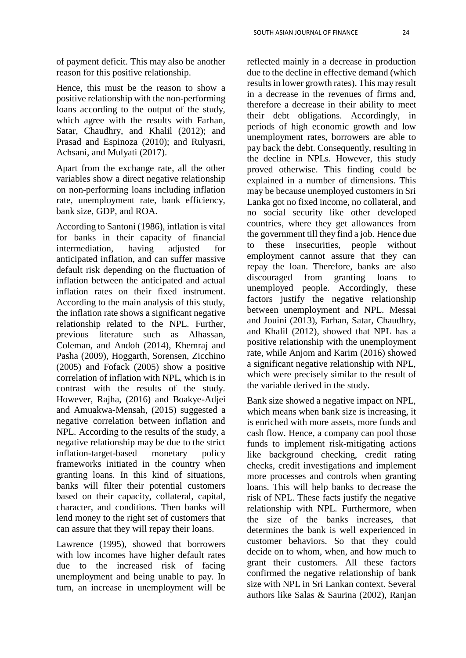of payment deficit. This may also be another reason for this positive relationship.

Hence, this must be the reason to show a positive relationship with the non-performing loans according to the output of the study, which agree with the results with Farhan, Satar, Chaudhry, and Khalil (2012); and Prasad and Espinoza (2010); and Rulyasri, Achsani, and Mulyati (2017).

Apart from the exchange rate, all the other variables show a direct negative relationship on non-performing loans including inflation rate, unemployment rate, bank efficiency, bank size, GDP, and ROA.

According to Santoni (1986), inflation is vital for banks in their capacity of financial intermediation, having adjusted for anticipated inflation, and can suffer massive default risk depending on the fluctuation of inflation between the anticipated and actual inflation rates on their fixed instrument. According to the main analysis of this study, the inflation rate shows a significant negative relationship related to the NPL. Further, previous literature such as Alhassan, Coleman, and Andoh (2014), Khemraj and Pasha (2009), Hoggarth, Sorensen, Zicchino (2005) and Fofack (2005) show a positive correlation of inflation with NPL, which is in contrast with the results of the study. However, Rajha, (2016) and Boakye-Adjei and Amuakwa-Mensah, (2015) suggested a negative correlation between inflation and NPL. According to the results of the study, a negative relationship may be due to the strict inflation-target-based monetary policy frameworks initiated in the country when granting loans. In this kind of situations, banks will filter their potential customers based on their capacity, collateral, capital, character, and conditions. Then banks will lend money to the right set of customers that can assure that they will repay their loans.

Lawrence (1995), showed that borrowers with low incomes have higher default rates due to the increased risk of facing unemployment and being unable to pay. In turn, an increase in unemployment will be reflected mainly in a decrease in production due to the decline in effective demand (which results in lower growth rates). This may result in a decrease in the revenues of firms and, therefore a decrease in their ability to meet their debt obligations. Accordingly, in periods of high economic growth and low unemployment rates, borrowers are able to pay back the debt. Consequently, resulting in the decline in NPLs. However, this study proved otherwise. This finding could be explained in a number of dimensions. This may be because unemployed customers in Sri Lanka got no fixed income, no collateral, and no social security like other developed countries, where they get allowances from the government till they find a job. Hence due to these insecurities, people without employment cannot assure that they can repay the loan. Therefore, banks are also discouraged from granting loans to unemployed people. Accordingly, these factors justify the negative relationship between unemployment and NPL. Messai and Jouini (2013), Farhan, Satar, Chaudhry, and Khalil (2012), showed that NPL has a positive relationship with the unemployment rate, while Anjom and Karim (2016) showed a significant negative relationship with NPL, which were precisely similar to the result of the variable derived in the study.

Bank size showed a negative impact on NPL, which means when bank size is increasing, it is enriched with more assets, more funds and cash flow. Hence, a company can pool those funds to implement risk-mitigating actions like background checking, credit rating checks, credit investigations and implement more processes and controls when granting loans. This will help banks to decrease the risk of NPL. These facts justify the negative relationship with NPL. Furthermore, when the size of the banks increases, that determines the bank is well experienced in customer behaviors. So that they could decide on to whom, when, and how much to grant their customers. All these factors confirmed the negative relationship of bank size with NPL in Sri Lankan context. Several authors like Salas & Saurina (2002), Ranjan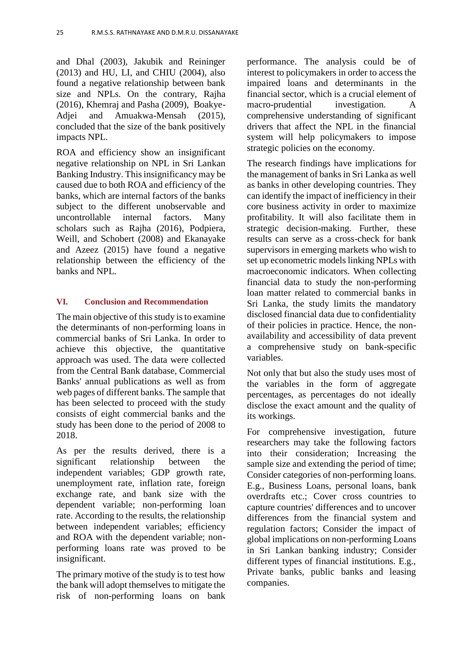and Dhal (2003), Jakubik and Reininger (2013) and HU, LI, and CHIU (2004), also found a negative relationship between bank size and NPLs. On the contrary, Rajha (2016), Khemraj and Pasha (2009), Boakye-Adjei and Amuakwa-Mensah (2015), concluded that the size of the bank positively impacts NPL.

ROA and efficiency show an insignificant negative relationship on NPL in Sri Lankan Banking Industry. This insignificancy may be caused due to both ROA and efficiency of the banks, which are internal factors of the banks subject to the different unobservable and uncontrollable internal factors. Many scholars such as Rajha (2016), Podpiera, Weill, and Schobert (2008) and Ekanayake and Azeez (2015) have found a negative relationship between the efficiency of the banks and NPL.

# **VI. Conclusion and Recommendation**

The main objective of this study is to examine the determinants of non-performing loans in commercial banks of Sri Lanka. In order to achieve this objective, the quantitative approach was used. The data were collected from the Central Bank database, Commercial Banks' annual publications as well as from web pages of different banks. The sample that has been selected to proceed with the study consists of eight commercial banks and the study has been done to the period of 2008 to 2018.

As per the results derived, there is a significant relationship between the independent variables; GDP growth rate, unemployment rate, inflation rate, foreign exchange rate, and bank size with the dependent variable; non-performing loan rate. According to the results, the relationship between independent variables; efficiency and ROA with the dependent variable; nonperforming loans rate was proved to be insignificant.

The primary motive of the study is to test how the bank will adopt themselves to mitigate the risk of non-performing loans on bank performance. The analysis could be of interest to policymakers in order to access the impaired loans and determinants in the financial sector, which is a crucial element of macro-prudential investigation. A comprehensive understanding of significant drivers that affect the NPL in the financial system will help policymakers to impose strategic policies on the economy.

The research findings have implications for the management of banks in Sri Lanka as well as banks in other developing countries. They can identify the impact of inefficiency in their core business activity in order to maximize profitability. It will also facilitate them in strategic decision-making. Further, these results can serve as a cross-check for bank supervisors in emerging markets who wish to set up econometric models linking NPLs with macroeconomic indicators. When collecting financial data to study the non-performing loan matter related to commercial banks in Sri Lanka, the study limits the mandatory disclosed financial data due to confidentiality of their policies in practice. Hence, the nonavailability and accessibility of data prevent a comprehensive study on bank-specific variables.

Not only that but also the study uses most of the variables in the form of aggregate percentages, as percentages do not ideally disclose the exact amount and the quality of its workings.

For comprehensive investigation, future researchers may take the following factors into their consideration; Increasing the sample size and extending the period of time; Consider categories of non-performing loans. E.g., Business Loans, personal loans, bank overdrafts etc.; Cover cross countries to capture countries' differences and to uncover differences from the financial system and regulation factors; Consider the impact of global implications on non-performing Loans in Sri Lankan banking industry; Consider different types of financial institutions. E.g., Private banks, public banks and leasing companies.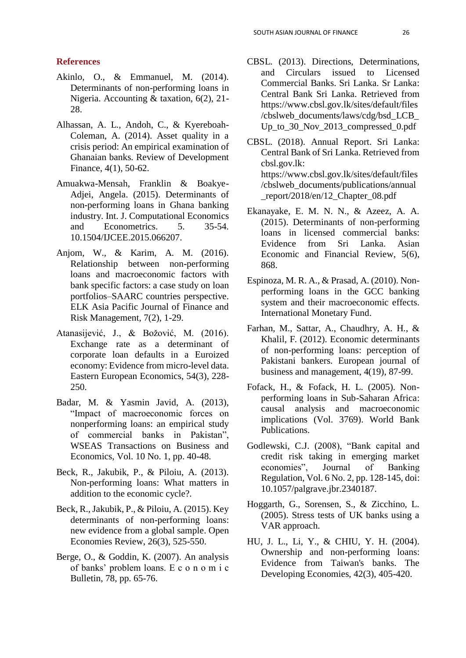# **References**

- Akinlo, O., & Emmanuel, M. (2014). Determinants of non-performing loans in Nigeria. Accounting & taxation, 6(2), 21- 28.
- Alhassan, A. L., Andoh, C., & Kyereboah-Coleman, A. (2014). Asset quality in a crisis period: An empirical examination of Ghanaian banks. Review of Development Finance, 4(1), 50-62.
- Amuakwa-Mensah, Franklin & Boakye-Adjei, Angela. (2015). Determinants of non-performing loans in Ghana banking industry. Int. J. Computational Economics and Econometrics. 5. 35-54. 10.1504/IJCEE.2015.066207.
- Anjom, W., & Karim, A. M. (2016). Relationship between non-performing loans and macroeconomic factors with bank specific factors: a case study on loan portfolios–SAARC countries perspective. ELK Asia Pacific Journal of Finance and Risk Management, 7(2), 1-29.
- Atanasijević, J., & Božović, M. (2016). Exchange rate as a determinant of corporate loan defaults in a Euroized economy: Evidence from micro-level data. Eastern European Economics, 54(3), 228- 250.
- Badar, M. & Yasmin Javid, A. (2013), "Impact of macroeconomic forces on nonperforming loans: an empirical study of commercial banks in Pakistan", WSEAS Transactions on Business and Economics, Vol. 10 No. 1, pp. 40-48.
- Beck, R., Jakubik, P., & Piloiu, A. (2013). Non-performing loans: What matters in addition to the economic cycle?.
- Beck, R., Jakubik, P., & Piloiu, A. (2015). Key determinants of non-performing loans: new evidence from a global sample. Open Economies Review, 26(3), 525-550.
- Berge, O., & Goddin, K. (2007). An analysis of banks' problem loans. E c o n o m i c Bulletin, 78, pp. 65-76.
- CBSL. (2013). Directions, Determinations, and Circulars issued to Licensed Commercial Banks. Sri Lanka. Sr Lanka: Central Bank Sri Lanka. Retrieved from https://www.cbsl.gov.lk/sites/default/files /cbslweb\_documents/laws/cdg/bsd\_LCB\_ Up to 30 Nov 2013 compressed 0.pdf
- CBSL. (2018). Annual Report. Sri Lanka: Central Bank of Sri Lanka. Retrieved from cbsl.gov.lk: https://www.cbsl.gov.lk/sites/default/files /cbslweb\_documents/publications/annual \_report/2018/en/12\_Chapter\_08.pdf
- Ekanayake, E. M. N. N., & Azeez, A. A. (2015). Determinants of non-performing loans in licensed commercial banks: Evidence from Sri Lanka. Asian Economic and Financial Review, 5(6), 868.
- Espinoza, M. R. A., & Prasad, A. (2010). Nonperforming loans in the GCC banking system and their macroeconomic effects. International Monetary Fund.
- Farhan, M., Sattar, A., Chaudhry, A. H., & Khalil, F. (2012). Economic determinants of non-performing loans: perception of Pakistani bankers. European journal of business and management, 4(19), 87-99.
- Fofack, H., & Fofack, H. L. (2005). Nonperforming loans in Sub-Saharan Africa: causal analysis and macroeconomic implications (Vol. 3769). World Bank Publications.
- Godlewski, C.J. (2008), "Bank capital and credit risk taking in emerging market economies", Journal of Banking Regulation, Vol. 6 No. 2, pp. 128-145, doi: 10.1057/palgrave.jbr.2340187.
- Hoggarth, G., Sorensen, S., & Zicchino, L. (2005). Stress tests of UK banks using a VAR approach.
- HU, J. L., Li, Y., & CHIU, Y. H. (2004). Ownership and non-performing loans: Evidence from Taiwan's banks. The Developing Economies, 42(3), 405-420.